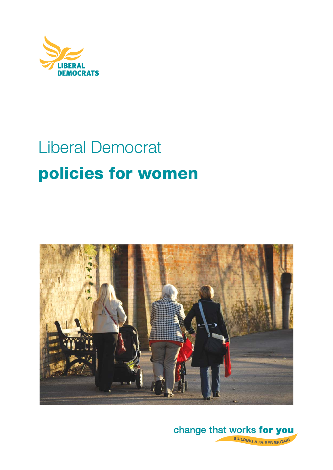

# Liberal Democrat **policies for women**



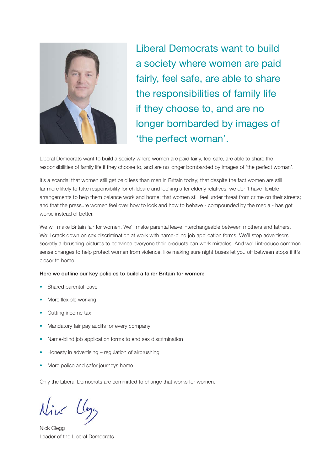

Liberal Democrats want to build a society where women are paid fairly, feel safe, are able to share the responsibilities of family life if they choose to, and are no longer bombarded by images of 'the perfect woman'.

Liberal Democrats want to build a society where women are paid fairly, feel safe, are able to share the responsibilities of family life if they choose to, and are no longer bombarded by images of 'the perfect woman'.

It's a scandal that women still get paid less than men in Britain today; that despite the fact women are still far more likely to take responsibility for childcare and looking after elderly relatives, we don't have flexible arrangements to help them balance work and home; that women still feel under threat from crime on their streets; and that the pressure women feel over how to look and how to behave - compounded by the media - has got worse instead of better.

We will make Britain fair for women. We'll make parental leave interchangeable between mothers and fathers. We'll crack down on sex discrimination at work with name-blind job application forms. We'll stop advertisers secretly airbrushing pictures to convince everyone their products can work miracles. And we'll introduce common sense changes to help protect women from violence, like making sure night buses let you off between stops if it's closer to home.

#### **Here we outline our key policies to build a fairer Britain for women:**

- Shared parental leave
- More flexible working
- Cutting income tax
- Mandatory fair pay audits for every company
- Name-blind job application forms to end sex discrimination
- Honesty in advertising regulation of airbrushing
- More police and safer journeys home

Only the Liberal Democrats are committed to change that works for women.

Nick Clegg Leader of the Liberal Democrats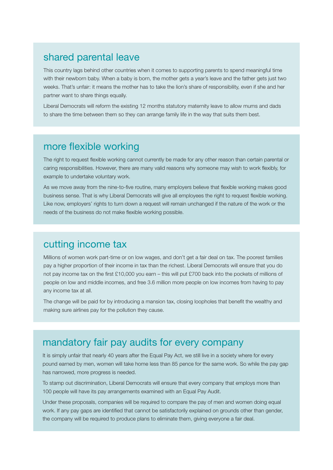#### shared parental leave

This country lags behind other countries when it comes to supporting parents to spend meaningful time with their newborn baby. When a baby is born, the mother gets a year's leave and the father gets just two weeks. That's unfair: it means the mother has to take the lion's share of responsibility, even if she and her partner want to share things equally.

Liberal Democrats will reform the existing 12 months statutory maternity leave to allow mums and dads to share the time between them so they can arrange family life in the way that suits them best.

#### more flexible working

The right to request flexible working cannot currently be made for any other reason than certain parental or caring responsibilities. However, there are many valid reasons why someone may wish to work flexibly, for example to undertake voluntary work.

As we move away from the nine-to-five routine, many employers believe that flexible working makes good business sense. That is why Liberal Democrats will give all employees the right to request flexible working. Like now, employers' rights to turn down a request will remain unchanged if the nature of the work or the needs of the business do not make flexible working possible.

### cutting income tax

Millions of women work part-time or on low wages, and don't get a fair deal on tax. The poorest families pay a higher proportion of their income in tax than the richest. Liberal Democrats will ensure that you do not pay income tax on the first £10,000 you earn – this will put £700 back into the pockets of millions of people on low and middle incomes, and free 3.6 million more people on low incomes from having to pay any income tax at all.

The change will be paid for by introducing a mansion tax, closing loopholes that benefit the wealthy and making sure airlines pay for the pollution they cause.

### mandatory fair pay audits for every company

It is simply unfair that nearly 40 years after the Equal Pay Act, we still live in a society where for every pound earned by men, women will take home less than 85 pence for the same work. So while the pay gap has narrowed, more progress is needed.

To stamp out discrimination, Liberal Democrats will ensure that every company that employs more than 100 people will have its pay arrangements examined with an Equal Pay Audit.

Under these proposals, companies will be required to compare the pay of men and women doing equal work. If any pay gaps are identified that cannot be satisfactorily explained on grounds other than gender, the company will be required to produce plans to eliminate them, giving everyone a fair deal.